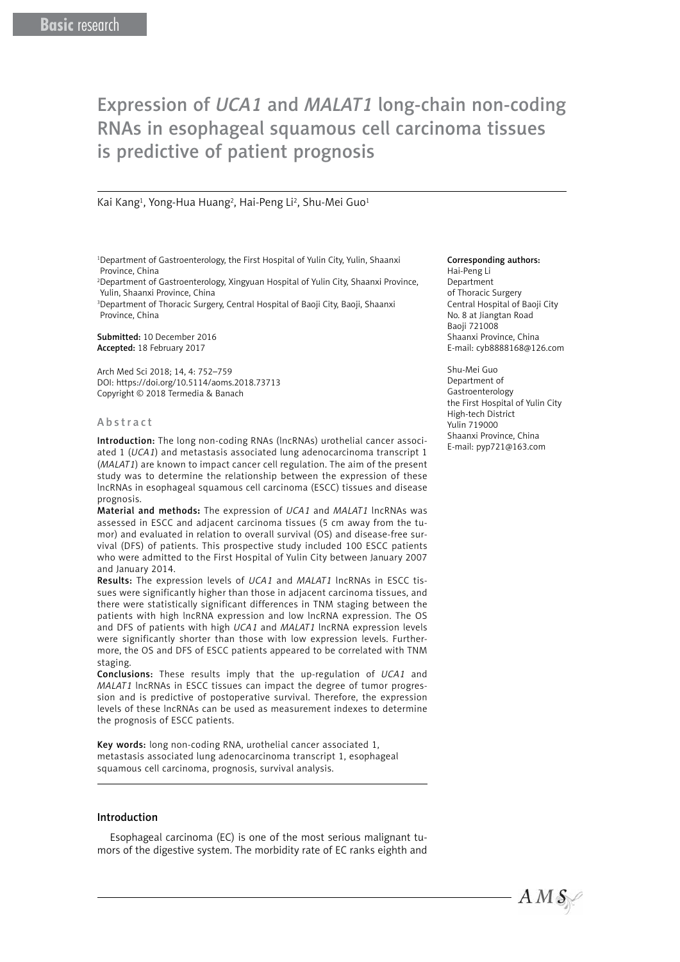# Expression of *UCA1* and *MALAT1* long-chain non-coding RNAs in esophageal squamous cell carcinoma tissues is predictive of patient prognosis

### Kai Kang<sup>1</sup>, Yong-Hua Huang<sup>2</sup>, Hai-Peng Li<sup>2</sup>, Shu-Mei Guo<sup>1</sup>

1 Department of Gastroenterology, the First Hospital of Yulin City, Yulin, Shaanxi Province, China

2 Department of Gastroenterology, Xingyuan Hospital of Yulin City, Shaanxi Province, Yulin, Shaanxi Province, China

3 Department of Thoracic Surgery, Central Hospital of Baoji City, Baoji, Shaanxi Province, China

Submitted: 10 December 2016 Accepted: 18 February 2017

Arch Med Sci 2018; 14, 4: 752–759 DOI: https://doi.org/10.5114/aoms.2018.73713 Copyright © 2018 Termedia & Banach

#### Abstract

Introduction: The long non-coding RNAs (lncRNAs) urothelial cancer associated 1 (*UCA1*) and metastasis associated lung adenocarcinoma transcript 1 (*MALAT1*) are known to impact cancer cell regulation. The aim of the present study was to determine the relationship between the expression of these lncRNAs in esophageal squamous cell carcinoma (ESCC) tissues and disease prognosis.

Material and methods**:** The expression of *UCA1* and *MALAT1* lncRNAs was assessed in ESCC and adjacent carcinoma tissues (5 cm away from the tumor) and evaluated in relation to overall survival (OS) and disease-free survival (DFS) of patients. This prospective study included 100 ESCC patients who were admitted to the First Hospital of Yulin City between January 2007 and January 2014.

Results: The expression levels of *UCA1* and *MALAT1* lncRNAs in ESCC tissues were significantly higher than those in adjacent carcinoma tissues, and there were statistically significant differences in TNM staging between the patients with high lncRNA expression and low lncRNA expression. The OS and DFS of patients with high *UCA1* and *MALAT1* lncRNA expression levels were significantly shorter than those with low expression levels. Furthermore, the OS and DFS of ESCC patients appeared to be correlated with TNM staging.

Conclusions: These results imply that the up-regulation of *UCA1* and *MALAT1* lncRNAs in ESCC tissues can impact the degree of tumor progression and is predictive of postoperative survival. Therefore, the expression levels of these lncRNAs can be used as measurement indexes to determine the prognosis of ESCC patients.

Key words: long non-coding RNA, urothelial cancer associated 1, metastasis associated lung adenocarcinoma transcript 1, esophageal squamous cell carcinoma, prognosis, survival analysis.

## Introduction

Esophageal carcinoma (EC) is one of the most serious malignant tumors of the digestive system. The morbidity rate of EC ranks eighth and

#### Corresponding authors:

Hai-Peng Li Department of Thoracic Surgery Central Hospital of Baoji City No. 8 at Jiangtan Road Baoji 721008 Shaanxi Province, China E-mail: [cyb8888168@126.com](mailto:cyb8888168@126.com)

Shu-Mei Guo Department of Gastroenterology the First Hospital of Yulin City High-tech District Yulin 719000 Shaanxi Province, China E-mail: pyp721@163.com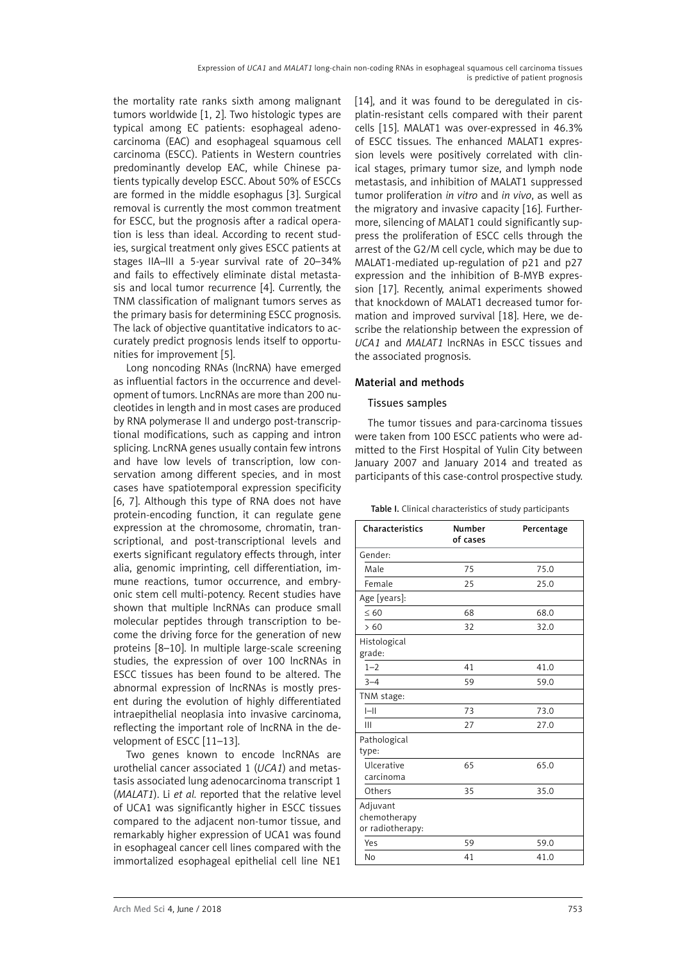the mortality rate ranks sixth among malignant tumors worldwide [1, 2]. Two histologic types are typical among EC patients: esophageal adenocarcinoma (EAC) and esophageal squamous cell carcinoma (ESCC). Patients in Western countries predominantly develop EAC, while Chinese patients typically develop ESCC. About 50% of ESCCs are formed in the middle esophagus [3]. Surgical removal is currently the most common treatment for ESCC, but the prognosis after a radical operation is less than ideal. According to recent studies, surgical treatment only gives ESCC patients at stages IIA–III a 5-year survival rate of 20–34% and fails to effectively eliminate distal metastasis and local tumor recurrence [4]. Currently, the TNM classification of malignant tumors serves as the primary basis for determining ESCC prognosis. The lack of objective quantitative indicators to accurately predict prognosis lends itself to opportunities for improvement [5].

Long noncoding RNAs (lncRNA) have emerged as influential factors in the occurrence and development of tumors. LncRNAs are more than 200 nucleotides in length and in most cases are produced by RNA polymerase II and undergo post-transcriptional modifications, such as capping and intron splicing. LncRNA genes usually contain few introns and have low levels of transcription, low conservation among different species, and in most cases have spatiotemporal expression specificity [6, 7]. Although this type of RNA does not have protein-encoding function, it can regulate gene expression at the chromosome, chromatin, transcriptional, and post-transcriptional levels and exerts significant regulatory effects through, inter alia, genomic imprinting, cell differentiation, immune reactions, tumor occurrence, and embryonic stem cell multi-potency. Recent studies have shown that multiple lncRNAs can produce small molecular peptides through transcription to become the driving force for the generation of new proteins [8–10]. In multiple large-scale screening studies, the expression of over 100 lncRNAs in ESCC tissues has been found to be altered. The abnormal expression of lncRNAs is mostly present during the evolution of highly differentiated intraepithelial neoplasia into invasive carcinoma, reflecting the important role of lncRNA in the development of ESCC [11–13].

Two genes known to encode lncRNAs are urothelial cancer associated 1 (*UCA1*) and metastasis associated lung adenocarcinoma transcript 1 (*MALAT1*). Li *et al.* reported that the relative level of UCA1 was significantly higher in ESCC tissues compared to the adjacent non-tumor tissue, and remarkably higher expression of UCA1 was found in esophageal cancer cell lines compared with the immortalized esophageal epithelial cell line NE1

[14], and it was found to be deregulated in cisplatin-resistant cells compared with their parent cells [15]. MALAT1 was over-expressed in 46.3% of ESCC tissues. The enhanced MALAT1 expression levels were positively correlated with clinical stages, primary tumor size, and lymph node metastasis, and inhibition of MALAT1 suppressed tumor proliferation *in vitro* and *in vivo*, as well as the migratory and invasive capacity [16]. Furthermore, silencing of MALAT1 could significantly suppress the proliferation of ESCC cells through the arrest of the G2/M cell cycle, which may be due to MALAT1-mediated up-regulation of p21 and p27 expression and the inhibition of B-MYB expression [17]. Recently, animal experiments showed that knockdown of MALAT1 decreased tumor formation and improved survival [18]. Here, we describe the relationship between the expression of *UCA1* and *MALAT1* lncRNAs in ESCC tissues and the associated prognosis.

# Material and methods

# Tissues samples

The tumor tissues and para-carcinoma tissues were taken from 100 ESCC patients who were admitted to the First Hospital of Yulin City between January 2007 and January 2014 and treated as participants of this case-control prospective study.

| Characteristics                              | <b>Number</b> | Percentage |
|----------------------------------------------|---------------|------------|
|                                              | of cases      |            |
| Gender:                                      |               |            |
| Male                                         | 75            | 75.0       |
| Female                                       | 25            | 25.0       |
| Age [years]:                                 |               |            |
| $\leq 60$                                    | 68            | 68.0       |
| >60                                          | 32            | 32.0       |
| Histological<br>grade:                       |               |            |
| $1 - 2$                                      | 41            | 41.0       |
| $3 - 4$                                      | 59            | 59.0       |
| TNM stage:                                   |               |            |
| $ -  $                                       | 73            | 73.0       |
| Ш                                            | 27            | 27.0       |
| Pathological<br>type:                        |               |            |
| Ulcerative<br>carcinoma                      | 65            | 65.0       |
| Others                                       | 35            | 35.0       |
| Adjuvant<br>chemotherapy<br>or radiotherapy: |               |            |
| Yes                                          | 59            | 59.0       |
| No                                           | 41            | 41.0       |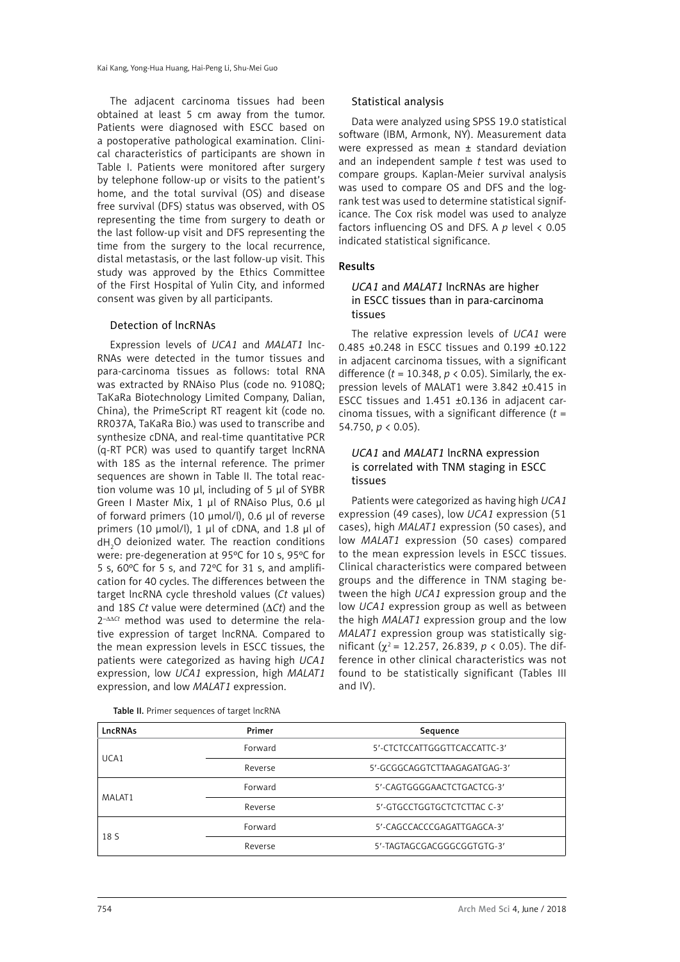The adjacent carcinoma tissues had been obtained at least 5 cm away from the tumor. Patients were diagnosed with ESCC based on a postoperative pathological examination. Clinical characteristics of participants are shown in Table I. Patients were monitored after surgery by telephone follow-up or visits to the patient's home, and the total survival (OS) and disease free survival (DFS) status was observed, with OS representing the time from surgery to death or the last follow-up visit and DFS representing the time from the surgery to the local recurrence, distal metastasis, or the last follow-up visit. This study was approved by the Ethics Committee of the First Hospital of Yulin City, and informed consent was given by all participants.

## Detection of lncRNAs

Expression levels of *UCA1* and *MALAT1* lnc-RNAs were detected in the tumor tissues and para-carcinoma tissues as follows: total RNA was extracted by RNAiso Plus (code no. 9108Q; TaKaRa Biotechnology Limited Company, Dalian, China), the PrimeScript RT reagent kit (code no. RR037A, TaKaRa Bio.) was used to transcribe and synthesize cDNA, and real-time quantitative PCR (q-RT PCR) was used to quantify target lncRNA with 18S as the internal reference. The primer sequences are shown in Table II. The total reaction volume was 10 μl, including of 5 μl of SYBR Green I Master Mix, 1 μl of RNAiso Plus, 0.6 μl of forward primers (10 μmol/l), 0.6 μl of reverse primers (10 μmol/l), 1 μl of cDNA, and 1.8 μl of  $dH_{2}$ O deionized water. The reaction conditions were: pre-degeneration at 95ºC for 10 s, 95ºC for 5 s, 60ºC for 5 s, and 72ºC for 31 s, and amplification for 40 cycles. The differences between the target lncRNA cycle threshold values (*Ct* values) and 18S *Ct* value were determined (∆*Ct*) and the 2–∆∆*Ct* method was used to determine the relative expression of target lncRNA. Compared to the mean expression levels in ESCC tissues, the patients were categorized as having high *UCA1* expression, low *UCA1* expression, high *MALAT1* expression, and low *MALAT1* expression.

#### Statistical analysis

Data were analyzed using SPSS 19.0 statistical software (IBM, Armonk, NY). Measurement data were expressed as mean ± standard deviation and an independent sample *t* test was used to compare groups. Kaplan-Meier survival analysis was used to compare OS and DFS and the logrank test was used to determine statistical significance. The Cox risk model was used to analyze factors influencing OS and DFS. A *p* level < 0.05 indicated statistical significance.

## Results

# *UCA1* and *MALAT1* lncRNAs are higher in ESCC tissues than in para-carcinoma tissues

The relative expression levels of *UCA1* were 0.485 ±0.248 in ESCC tissues and 0.199 ±0.122 in adjacent carcinoma tissues, with a significant difference (*t* = 10.348, *p* < 0.05). Similarly, the expression levels of MALAT1 were 3.842 ±0.415 in ESCC tissues and 1.451 ±0.136 in adjacent carcinoma tissues, with a significant difference (*t* = 54.750, *p* < 0.05).

## *UCA1* and *MALAT1* lncRNA expression is correlated with TNM staging in ESCC tissues

Patients were categorized as having high *UCA1* expression (49 cases), low *UCA1* expression (51 cases), high *MALAT1* expression (50 cases), and low *MALAT1* expression (50 cases) compared to the mean expression levels in ESCC tissues. Clinical characteristics were compared between groups and the difference in TNM staging between the high *UCA1* expression group and the low *UCA1* expression group as well as between the high *MALAT1* expression group and the low *MALAT1* expression group was statistically significant (χ2 = 12.257, 26.839, *p* < 0.05). The difference in other clinical characteristics was not found to be statistically significant (Tables III and IV).

| LncRNAs | Primer<br>Sequence |                              |  |
|---------|--------------------|------------------------------|--|
| UCA1    | Forward            | 5'-CTCTCCATTGGGTTCACCATTC-3' |  |
|         | Reverse            | 5'-GCGGCAGGTCTTAAGAGATGAG-3' |  |
| MALAT1  | Forward            | 5'-CAGTGGGGAACTCTGACTCG-3'   |  |
|         | Reverse            | 5'-GTGCCTGGTGCTCTCTTAC C-3'  |  |
| 18 S    | Forward            | 5'-CAGCCACCCGAGATTGAGCA-3'   |  |
|         | Reverse            | 5'-TAGTAGCGACGGGCGGTGTG-3'   |  |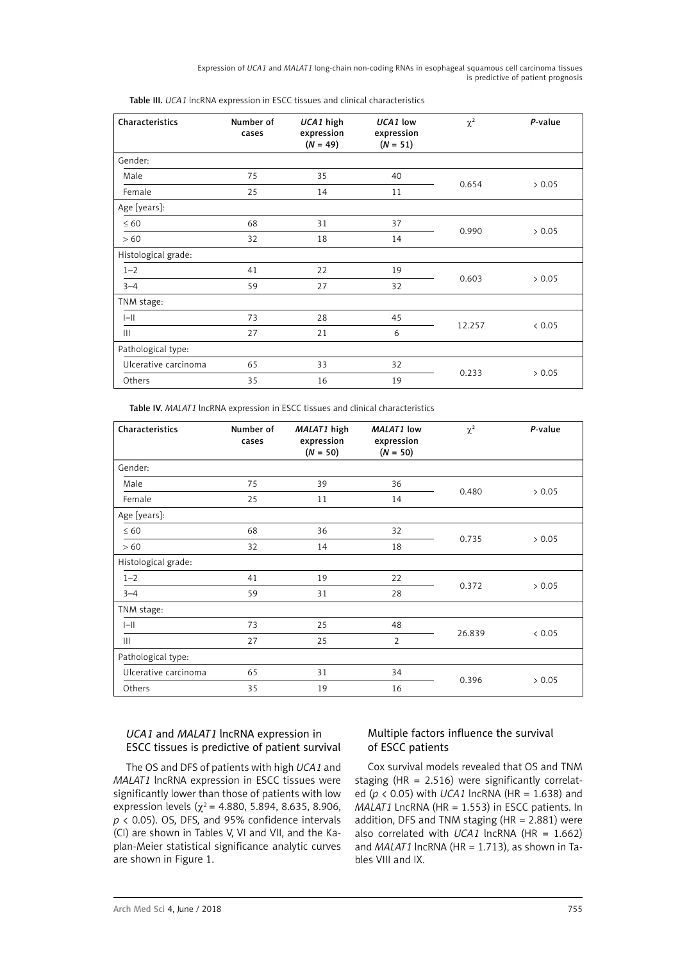Expression of *UCA1* and *MALAT1* long-chain non-coding RNAs in esophageal squamous cell carcinoma tissues is predictive of patient prognosis

| Characteristics      | Number of<br>cases | UCA1 high<br>expression<br>$(N = 49)$ | UCA1 low<br>expression<br>$(N = 51)$ | $\chi^2$ | P-value |
|----------------------|--------------------|---------------------------------------|--------------------------------------|----------|---------|
| Gender:              |                    |                                       |                                      |          |         |
| Male                 | 75                 | 35                                    | 40                                   | 0.654    |         |
| Female               | 25                 | 14                                    | 11                                   |          | > 0.05  |
| Age [years]:         |                    |                                       |                                      |          |         |
| $\leq 60$            | 68                 | 31                                    | 37                                   | 0.990    | > 0.05  |
| > 60                 | 32                 | 18                                    | 14                                   |          |         |
| Histological grade:  |                    |                                       |                                      |          |         |
| $1 - 2$              | 41                 | 22                                    | 19                                   | 0.603    | > 0.05  |
| $3 - 4$              | 59                 | 27                                    | 32                                   |          |         |
| TNM stage:           |                    |                                       |                                      |          |         |
| $I - II$             | 73                 | 28                                    | 45                                   |          |         |
| Ш                    | 27                 | 21                                    | 6                                    | 12.257   | < 0.05  |
| Pathological type:   |                    |                                       |                                      |          |         |
| Ulcerative carcinoma | 65                 | 33                                    | 32                                   | 0.233    | > 0.05  |
| Others               | 35                 | 16                                    | 19                                   |          |         |

Table III. *UCA1* lncRNA expression in ESCC tissues and clinical characteristics

Table IV. *MALAT1* lncRNA expression in ESCC tissues and clinical characteristics

| Characteristics      | Number of<br>cases | MALAT1 high<br>expression<br>$(N = 50)$ | MALAT1 low<br>expression<br>$(N = 50)$ | $\chi^2$ | P-value |
|----------------------|--------------------|-----------------------------------------|----------------------------------------|----------|---------|
| Gender:              |                    |                                         |                                        |          |         |
| Male                 | 75                 | 39                                      | 36                                     | 0.480    |         |
| Female               | 25                 | 11                                      | 14                                     |          | > 0.05  |
| Age [years]:         |                    |                                         |                                        |          |         |
| $\leq 60$            | 68                 | 36                                      | 32                                     | 0.735    | > 0.05  |
| > 60                 | 32                 | 14                                      | 18                                     |          |         |
| Histological grade:  |                    |                                         |                                        |          |         |
| $1 - 2$              | 41                 | 19                                      | 22                                     |          | > 0.05  |
| $3 - 4$              | 59                 | 31                                      | 28                                     | 0.372    |         |
| TNM stage:           |                    |                                         |                                        |          |         |
| $I - II$             | 73                 | 25                                      | 48                                     | 26.839   |         |
| $\mathbf{III}$       | 27                 | 25                                      | $\overline{2}$                         |          | < 0.05  |
| Pathological type:   |                    |                                         |                                        |          |         |
| Ulcerative carcinoma | 65                 | 31                                      | 34                                     |          |         |
| Others               | 35                 | 19                                      | 16                                     | 0.396    | > 0.05  |

# *UCA1* and *MALAT1* lncRNA expression in ESCC tissues is predictive of patient survival

The OS and DFS of patients with high *UCA1* and *MALAT1* lncRNA expression in ESCC tissues were significantly lower than those of patients with low expression levels ( $\chi^2$  = 4.880, 5.894, 8.635, 8.906, *p* < 0.05). OS, DFS, and 95% confidence intervals (CI) are shown in Tables V, VI and VII, and the Kaplan-Meier statistical significance analytic curves are shown in Figure 1.

# Multiple factors influence the survival of ESCC patients

Cox survival models revealed that OS and TNM staging (HR = 2.516) were significantly correlated (*p* < 0.05) with *UCA1* lncRNA (HR = 1.638) and *MALAT1* LncRNA (HR = 1.553) in ESCC patients. In addition, DFS and TNM staging ( $HR = 2.881$ ) were also correlated with *UCA1* lncRNA (HR = 1.662) and *MALAT1* lncRNA (HR = 1.713), as shown in Tables VIII and IX.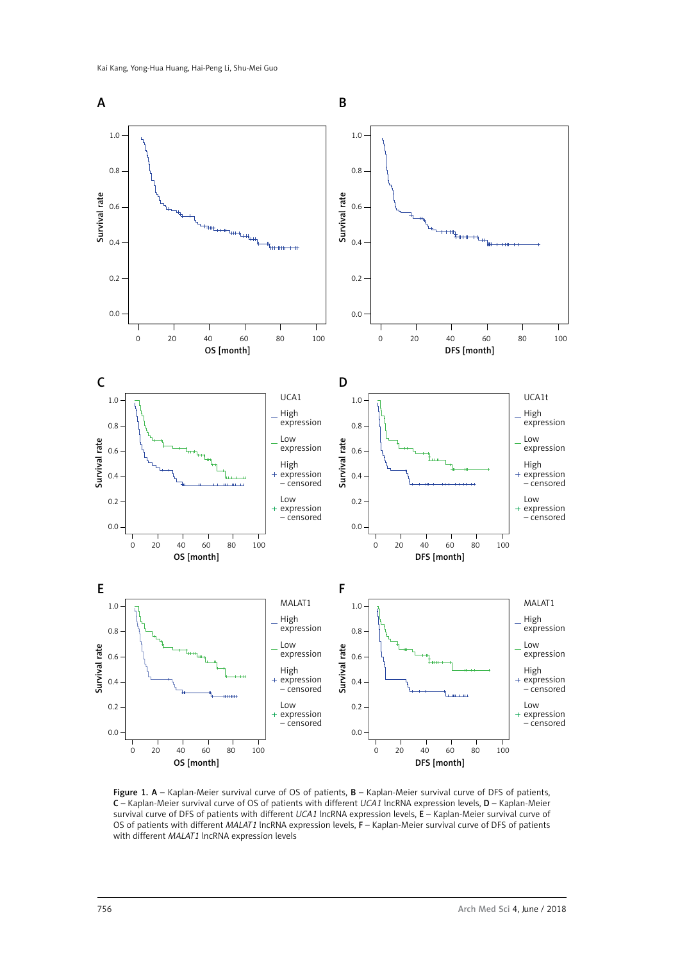

Figure 1. A – Kaplan-Meier survival curve of OS of patients,  $B$  – Kaplan-Meier survival curve of DFS of patients, C – Kaplan-Meier survival curve of OS of patients with different *UCA1* lncRNA expression levels, D – Kaplan-Meier survival curve of DFS of patients with different *UCA1* lncRNA expression levels, E – Kaplan-Meier survival curve of OS of patients with different *MALAT1* lncRNA expression levels, F – Kaplan-Meier survival curve of DFS of patients with different *MALAT1* lncRNA expression levels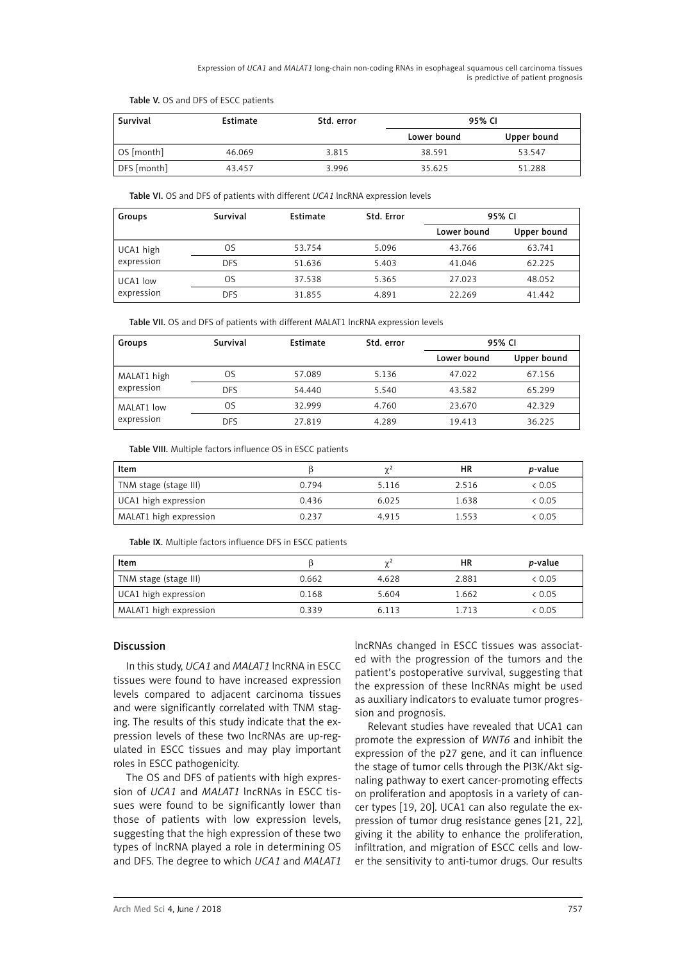Expression of *UCA1* and *MALAT1* long-chain non-coding RNAs in esophageal squamous cell carcinoma tissues is predictive of patient prognosis

| Survival    | Estimate | Std. error | 95% CI      |             |
|-------------|----------|------------|-------------|-------------|
|             |          |            | Lower bound | Upper bound |
| OS [month]  | 46.069   | 3.815      | 38.591      | 53.547      |
| DFS [month] | 43.457   | 3.996      | 35.625      | 51.288      |

Table V. OS and DFS of ESCC patients

Table VI. OS and DFS of patients with different *UCA1* lncRNA expression levels

| Groups     | Survival   | Estimate | Std. Error | 95% CI      |             |
|------------|------------|----------|------------|-------------|-------------|
|            |            |          |            | Lower bound | Upper bound |
| UCA1 high  | OS         | 53.754   | 5.096      | 43.766      | 63.741      |
| expression | <b>DFS</b> | 51.636   | 5.403      | 41.046      | 62.225      |
| UCA1 low   | OS         | 37.538   | 5.365      | 27.023      | 48.052      |
| expression | <b>DFS</b> | 31.855   | 4.891      | 22.269      | 41.442      |

Table VII. OS and DFS of patients with different MALAT1 lncRNA expression levels

| Groups      | Survival   | Estimate | Std. error | 95% CI      |             |
|-------------|------------|----------|------------|-------------|-------------|
|             |            |          |            | Lower bound | Upper bound |
| MALAT1 high | OS         | 57.089   | 5.136      | 47.022      | 67.156      |
| expression  | <b>DFS</b> | 54,440   | 5.540      | 43.582      | 65.299      |
| MALAT1 low  | OS         | 32.999   | 4.760      | 23.670      | 42.329      |
| expression  | <b>DFS</b> | 27.819   | 4.289      | 19.413      | 36.225      |

Table VIII. Multiple factors influence OS in ESCC patients

| Item                   |       | $\sim$ | ΗR    | <i>p</i> -value |
|------------------------|-------|--------|-------|-----------------|
| TNM stage (stage III)  | 0.794 | 5.116  | 2.516 | < 0.05          |
| UCA1 high expression   | 0.436 | 6.025  | 1.638 | < 0.05          |
| MALAT1 high expression | 0.237 | 4.915  | 1.553 | < 0.05          |

Table IX. Multiple factors influence DFS in ESCC patients

| Item                    |       | $\sim$ | НR    | <i>p</i> -value |
|-------------------------|-------|--------|-------|-----------------|
| I TNM stage (stage III) | 0.662 | 4.628  | 2.881 | < 0.05          |
| UCA1 high expression    | 0.168 | 5.604  | 1.662 | < 0.05          |
| MALAT1 high expression  | 0.339 | 6.113  | 1713  | < 0.05          |

# Discussion

In this study, *UCA1* and *MALAT1* lncRNA in ESCC tissues were found to have increased expression levels compared to adjacent carcinoma tissues and were significantly correlated with TNM staging. The results of this study indicate that the expression levels of these two lncRNAs are up-regulated in ESCC tissues and may play important roles in ESCC pathogenicity.

The OS and DFS of patients with high expression of *UCA1* and *MALAT1* lncRNAs in ESCC tissues were found to be significantly lower than those of patients with low expression levels, suggesting that the high expression of these two types of lncRNA played a role in determining OS and DFS. The degree to which *UCA1* and *MALAT1*

lncRNAs changed in ESCC tissues was associated with the progression of the tumors and the patient's postoperative survival, suggesting that the expression of these lncRNAs might be used as auxiliary indicators to evaluate tumor progression and prognosis.

Relevant studies have revealed that UCA1 can promote the expression of *WNT6* and inhibit the expression of the p27 gene, and it can influence the stage of tumor cells through the PI3K/Akt signaling pathway to exert cancer-promoting effects on proliferation and apoptosis in a variety of cancer types [19, 20]. UCA1 can also regulate the expression of tumor drug resistance genes [21, 22], giving it the ability to enhance the proliferation, infiltration, and migration of ESCC cells and lower the sensitivity to anti-tumor drugs. Our results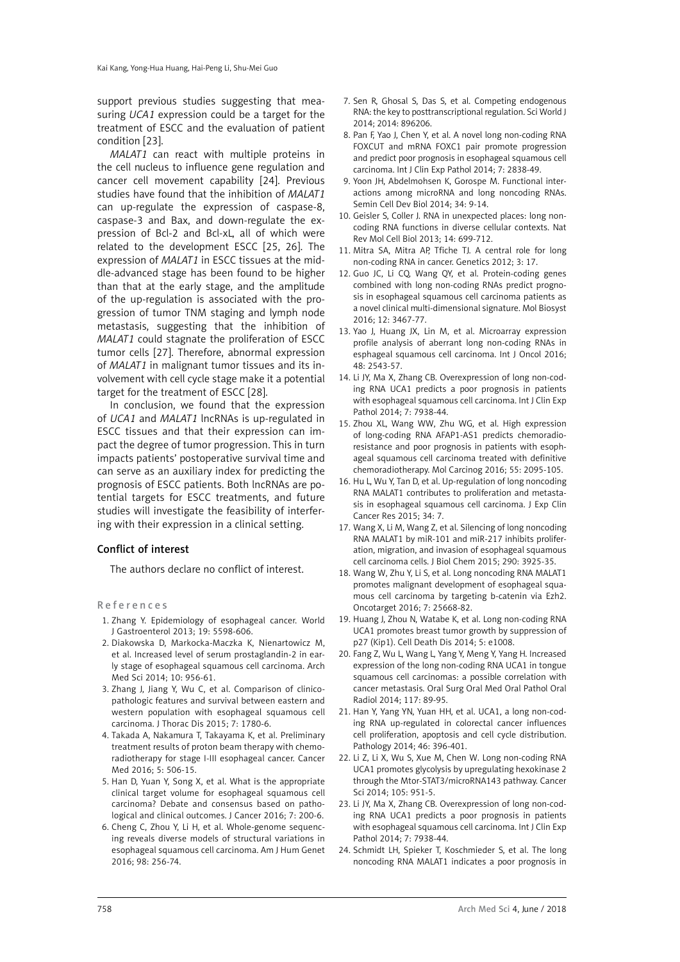support previous studies suggesting that measuring *UCA1* expression could be a target for the treatment of ESCC and the evaluation of patient condition [23].

*MALAT1* can react with multiple proteins in the cell nucleus to influence gene regulation and cancer cell movement capability [24]. Previous studies have found that the inhibition of *MALAT1* can up-regulate the expression of caspase-8, caspase-3 and Bax, and down-regulate the expression of Bcl-2 and Bcl-xL, all of which were related to the development ESCC [25, 26]. The expression of *MALAT1* in ESCC tissues at the middle-advanced stage has been found to be higher than that at the early stage, and the amplitude of the up-regulation is associated with the progression of tumor TNM staging and lymph node metastasis, suggesting that the inhibition of *MALAT1* could stagnate the proliferation of ESCC tumor cells [27]. Therefore, abnormal expression of *MALAT1* in malignant tumor tissues and its involvement with cell cycle stage make it a potential target for the treatment of ESCC [28].

In conclusion, we found that the expression of *UCA1* and *MALAT1* lncRNAs is up-regulated in ESCC tissues and that their expression can impact the degree of tumor progression. This in turn impacts patients' postoperative survival time and can serve as an auxiliary index for predicting the prognosis of ESCC patients. Both lncRNAs are potential targets for ESCC treatments, and future studies will investigate the feasibility of interfering with their expression in a clinical setting.

## Conflict of interest

The authors declare no conflict of interest.

References

- 1. Zhang Y. Epidemiology of esophageal cancer. World J Gastroenterol 2013; 19: 5598-606.
- 2. Diakowska D, Markocka-Maczka K, Nienartowicz M, et al. Increased level of serum prostaglandin-2 in early stage of esophageal squamous cell carcinoma. Arch Med Sci 2014; 10: 956-61.
- 3. Zhang J, Jiang Y, Wu C, et al. Comparison of clinicopathologic features and survival between eastern and western population with esophageal squamous cell carcinoma. J Thorac Dis 2015; 7: 1780-6.
- 4. Takada A, Nakamura T, Takayama K, et al. Preliminary treatment results of proton beam therapy with chemoradiotherapy for stage I-III esophageal cancer. Cancer Med 2016; 5: 506-15.
- 5. Han D, Yuan Y, Song X, et al. What is the appropriate clinical target volume for esophageal squamous cell carcinoma? Debate and consensus based on pathological and clinical outcomes. J Cancer 2016; 7: 200-6.
- 6. Cheng C, Zhou Y, Li H, et al. Whole-genome sequencing reveals diverse models of structural variations in esophageal squamous cell carcinoma. Am J Hum Genet 2016; 98: 256-74.
- 7. Sen R, Ghosal S, Das S, et al. Competing endogenous RNA: the key to posttranscriptional regulation. Sci World J 2014; 2014: 896206.
- 8. Pan F, Yao J, Chen Y, et al. A novel long non-coding RNA FOXCUT and mRNA FOXC1 pair promote progression and predict poor prognosis in esophageal squamous cell carcinoma. Int J Clin Exp Pathol 2014; 7: 2838-49.
- 9. Yoon JH, Abdelmohsen K, Gorospe M. Functional interactions among microRNA and long noncoding RNAs. Semin Cell Dev Biol 2014; 34: 9-14.
- 10. Geisler S, Coller J. RNA in unexpected places: long noncoding RNA functions in diverse cellular contexts. Nat Rev Mol Cell Biol 2013; 14: 699-712.
- 11. Mitra SA, Mitra AP, Tfiche TJ. A central role for long non-coding RNA in cancer. Genetics 2012; 3: 17.
- 12. Guo JC, Li CQ, Wang QY, et al. Protein-coding genes combined with long non-coding RNAs predict prognosis in esophageal squamous cell carcinoma patients as a novel clinical multi-dimensional signature. Mol Biosyst 2016; 12: 3467-77.
- 13. Yao J, Huang JX, Lin M, et al. Microarray expression profile analysis of aberrant long non-coding RNAs in esphageal squamous cell carcinoma. Int J Oncol 2016; 48: 2543-57.
- 14. Li JY, Ma X, Zhang CB. Overexpression of long non-coding RNA UCA1 predicts a poor prognosis in patients with esophageal squamous cell carcinoma. Int J Clin Exp Pathol 2014; 7: 7938-44.
- 15. Zhou XL, Wang WW, Zhu WG, et al. High expression of long-coding RNA AFAP1-AS1 predicts chemoradioresistance and poor prognosis in patients with esophageal squamous cell carcinoma treated with definitive chemoradiotherapy. Mol Carcinog 2016; 55: 2095-105.
- 16. Hu L, Wu Y, Tan D, et al. Up-regulation of long noncoding RNA MALAT1 contributes to proliferation and metastasis in esophageal squamous cell carcinoma. J Exp Clin Cancer Res 2015; 34: 7.
- 17. Wang X, Li M, Wang Z, et al. Silencing of long noncoding RNA MALAT1 by miR-101 and miR-217 inhibits proliferation, migration, and invasion of esophageal squamous cell carcinoma cells. J Biol Chem 2015; 290: 3925-35.
- 18. Wang W, Zhu Y, Li S, et al. Long noncoding RNA MALAT1 promotes malignant development of esophageal squamous cell carcinoma by targeting b-catenin via Ezh2. Oncotarget 2016; 7: 25668-82.
- 19. Huang J, Zhou N, Watabe K, et al. Long non-coding RNA UCA1 promotes breast tumor growth by suppression of p27 (Kip1). Cell Death Dis 2014; 5: e1008.
- 20. Fang Z, Wu L, Wang L, Yang Y, Meng Y, Yang H. Increased expression of the long non-coding RNA UCA1 in tongue squamous cell carcinomas: a possible correlation with cancer metastasis. Oral Surg Oral Med Oral Pathol Oral Radiol 2014; 117: 89-95.
- 21. Han Y, Yang YN, Yuan HH, et al. UCA1, a long non-coding RNA up-regulated in colorectal cancer influences cell proliferation, apoptosis and cell cycle distribution. Pathology 2014; 46: 396-401.
- 22. Li Z, Li X, Wu S, Xue M, Chen W. Long non-coding RNA UCA1 promotes glycolysis by upregulating hexokinase 2 through the Mtor-STAT3/microRNA143 pathway. Cancer Sci 2014; 105: 951-5.
- 23. Li JY, Ma X, Zhang CB. Overexpression of long non-coding RNA UCA1 predicts a poor prognosis in patients with esophageal squamous cell carcinoma. Int J Clin Exp Pathol 2014; 7: 7938-44.
- 24. Schmidt LH, Spieker T, Koschmieder S, et al. The long noncoding RNA MALAT1 indicates a poor prognosis in